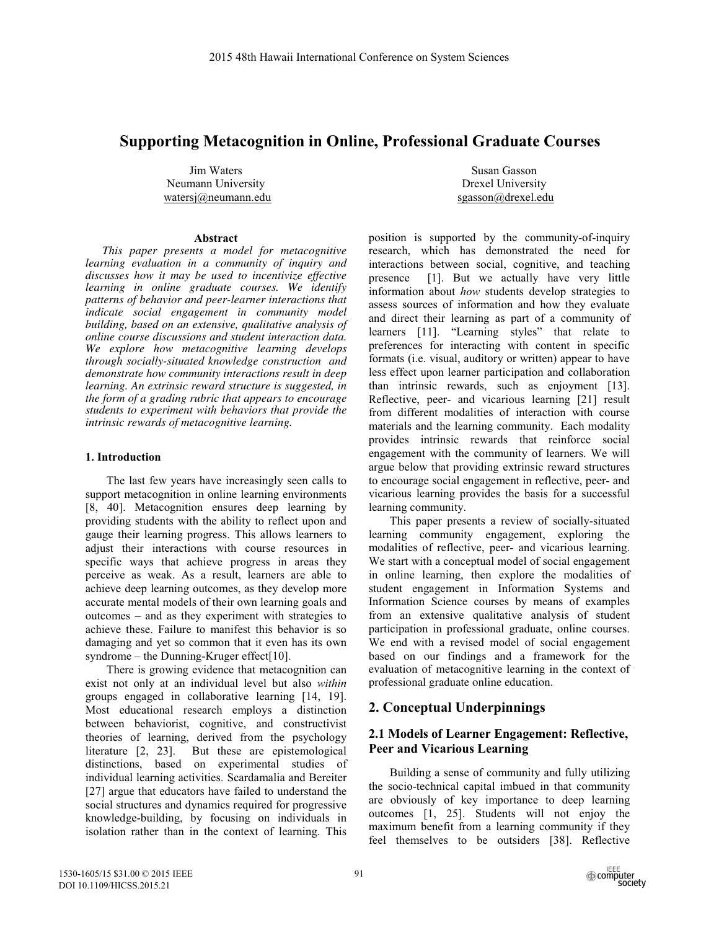# **Supporting Metacognition in Online, Professional Graduate Courses**

Jim Waters Neumann University watersj@neumann.edu

Susan Gasson Drexel University sgasson@drexel.edu

#### **Abstract**

*This paper presents a model for metacognitive learning evaluation in a community of inquiry and discusses how it may be used to incentivize effective learning in online graduate courses. We identify patterns of behavior and peer-learner interactions that indicate social engagement in community model building, based on an extensive, qualitative analysis of online course discussions and student interaction data. We explore how metacognitive learning develops through socially-situated knowledge construction and demonstrate how community interactions result in deep learning. An extrinsic reward structure is suggested, in the form of a grading rubric that appears to encourage students to experiment with behaviors that provide the intrinsic rewards of metacognitive learning.* 

### **1. Introduction**

The last few years have increasingly seen calls to support metacognition in online learning environments [8, 40]. Metacognition ensures deep learning by providing students with the ability to reflect upon and gauge their learning progress. This allows learners to adjust their interactions with course resources in specific ways that achieve progress in areas they perceive as weak. As a result, learners are able to achieve deep learning outcomes, as they develop more accurate mental models of their own learning goals and outcomes – and as they experiment with strategies to achieve these. Failure to manifest this behavior is so damaging and yet so common that it even has its own syndrome – the Dunning-Kruger effect[10].

There is growing evidence that metacognition can exist not only at an individual level but also *within* groups engaged in collaborative learning [14, 19]. Most educational research employs a distinction between behaviorist, cognitive, and constructivist theories of learning, derived from the psychology literature [2, 23]. But these are epistemological distinctions, based on experimental studies of individual learning activities. Scardamalia and Bereiter [27] argue that educators have failed to understand the social structures and dynamics required for progressive knowledge-building, by focusing on individuals in isolation rather than in the context of learning. This

position is supported by the community-of-inquiry research, which has demonstrated the need for interactions between social, cognitive, and teaching presence [1]. But we actually have very little information about *how* students develop strategies to assess sources of information and how they evaluate and direct their learning as part of a community of learners [11]. "Learning styles" that relate to preferences for interacting with content in specific formats (i.e. visual, auditory or written) appear to have less effect upon learner participation and collaboration than intrinsic rewards, such as enjoyment [13]. Reflective, peer- and vicarious learning [21] result from different modalities of interaction with course materials and the learning community. Each modality provides intrinsic rewards that reinforce social engagement with the community of learners. We will argue below that providing extrinsic reward structures to encourage social engagement in reflective, peer- and vicarious learning provides the basis for a successful learning community.

This paper presents a review of socially-situated learning community engagement, exploring the modalities of reflective, peer- and vicarious learning. We start with a conceptual model of social engagement in online learning, then explore the modalities of student engagement in Information Systems and Information Science courses by means of examples from an extensive qualitative analysis of student participation in professional graduate, online courses. We end with a revised model of social engagement based on our findings and a framework for the evaluation of metacognitive learning in the context of professional graduate online education.

### **2. Conceptual Underpinnings**

### **2.1 Models of Learner Engagement: Reflective, Peer and Vicarious Learning**

Building a sense of community and fully utilizing the socio-technical capital imbued in that community are obviously of key importance to deep learning outcomes [1, 25]. Students will not enjoy the maximum benefit from a learning community if they feel themselves to be outsiders [38]. Reflective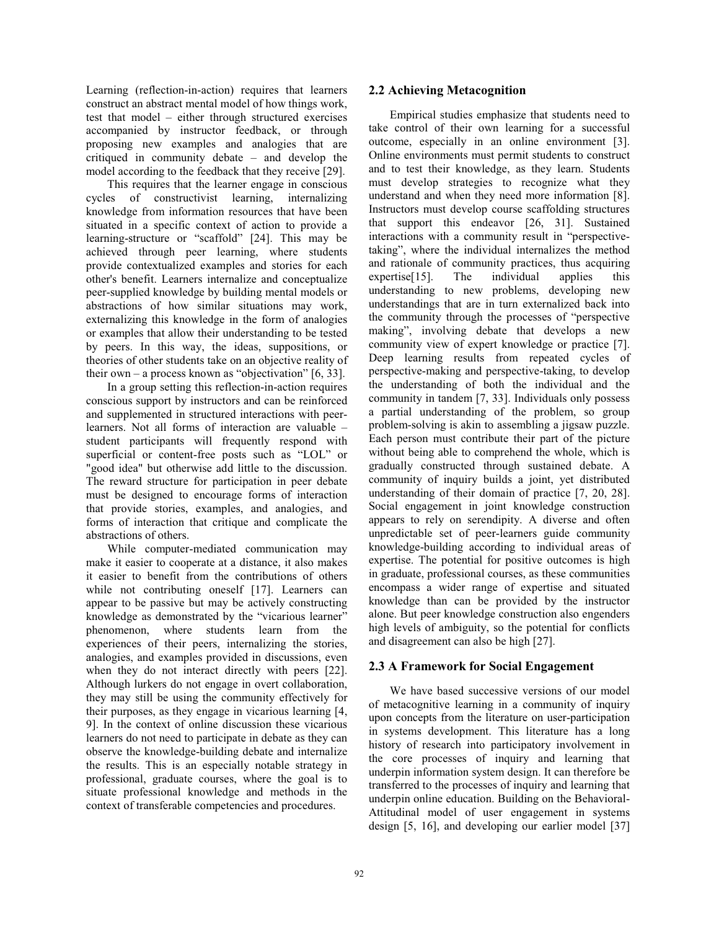Learning (reflection-in-action) requires that learners construct an abstract mental model of how things work, test that model – either through structured exercises accompanied by instructor feedback, or through proposing new examples and analogies that are critiqued in community debate – and develop the model according to the feedback that they receive [29].

This requires that the learner engage in conscious cycles of constructivist learning, internalizing knowledge from information resources that have been situated in a specific context of action to provide a learning-structure or "scaffold" [24]. This may be achieved through peer learning, where students provide contextualized examples and stories for each other's benefit. Learners internalize and conceptualize peer-supplied knowledge by building mental models or abstractions of how similar situations may work, externalizing this knowledge in the form of analogies or examples that allow their understanding to be tested by peers. In this way, the ideas, suppositions, or theories of other students take on an objective reality of their own – a process known as "objectivation"  $[6, 33]$ .

In a group setting this reflection-in-action requires conscious support by instructors and can be reinforced and supplemented in structured interactions with peerlearners. Not all forms of interaction are valuable – student participants will frequently respond with superficial or content-free posts such as "LOL" or "good idea" but otherwise add little to the discussion. The reward structure for participation in peer debate must be designed to encourage forms of interaction that provide stories, examples, and analogies, and forms of interaction that critique and complicate the abstractions of others.

While computer-mediated communication may make it easier to cooperate at a distance, it also makes it easier to benefit from the contributions of others while not contributing oneself [17]. Learners can appear to be passive but may be actively constructing knowledge as demonstrated by the "vicarious learner" phenomenon, where students learn from the experiences of their peers, internalizing the stories, analogies, and examples provided in discussions, even when they do not interact directly with peers [22]. Although lurkers do not engage in overt collaboration, they may still be using the community effectively for their purposes, as they engage in vicarious learning [4, 9]. In the context of online discussion these vicarious learners do not need to participate in debate as they can observe the knowledge-building debate and internalize the results. This is an especially notable strategy in professional, graduate courses, where the goal is to situate professional knowledge and methods in the context of transferable competencies and procedures.

## **2.2 Achieving Metacognition**

Empirical studies emphasize that students need to take control of their own learning for a successful outcome, especially in an online environment [3]. Online environments must permit students to construct and to test their knowledge, as they learn. Students must develop strategies to recognize what they understand and when they need more information [8]. Instructors must develop course scaffolding structures that support this endeavor [26, 31]. Sustained interactions with a community result in "perspectivetaking", where the individual internalizes the method and rationale of community practices, thus acquiring expertise[15]. The individual applies this understanding to new problems, developing new understandings that are in turn externalized back into the community through the processes of "perspective making", involving debate that develops a new community view of expert knowledge or practice [7]. Deep learning results from repeated cycles of perspective-making and perspective-taking, to develop the understanding of both the individual and the community in tandem [7, 33]. Individuals only possess a partial understanding of the problem, so group problem-solving is akin to assembling a jigsaw puzzle. Each person must contribute their part of the picture without being able to comprehend the whole, which is gradually constructed through sustained debate. A community of inquiry builds a joint, yet distributed understanding of their domain of practice [7, 20, 28]. Social engagement in joint knowledge construction appears to rely on serendipity. A diverse and often unpredictable set of peer-learners guide community knowledge-building according to individual areas of expertise. The potential for positive outcomes is high in graduate, professional courses, as these communities encompass a wider range of expertise and situated knowledge than can be provided by the instructor alone. But peer knowledge construction also engenders high levels of ambiguity, so the potential for conflicts and disagreement can also be high [27].

### **2.3 A Framework for Social Engagement**

We have based successive versions of our model of metacognitive learning in a community of inquiry upon concepts from the literature on user-participation in systems development. This literature has a long history of research into participatory involvement in the core processes of inquiry and learning that underpin information system design. It can therefore be transferred to the processes of inquiry and learning that underpin online education. Building on the Behavioral-Attitudinal model of user engagement in systems design [5, 16], and developing our earlier model [37]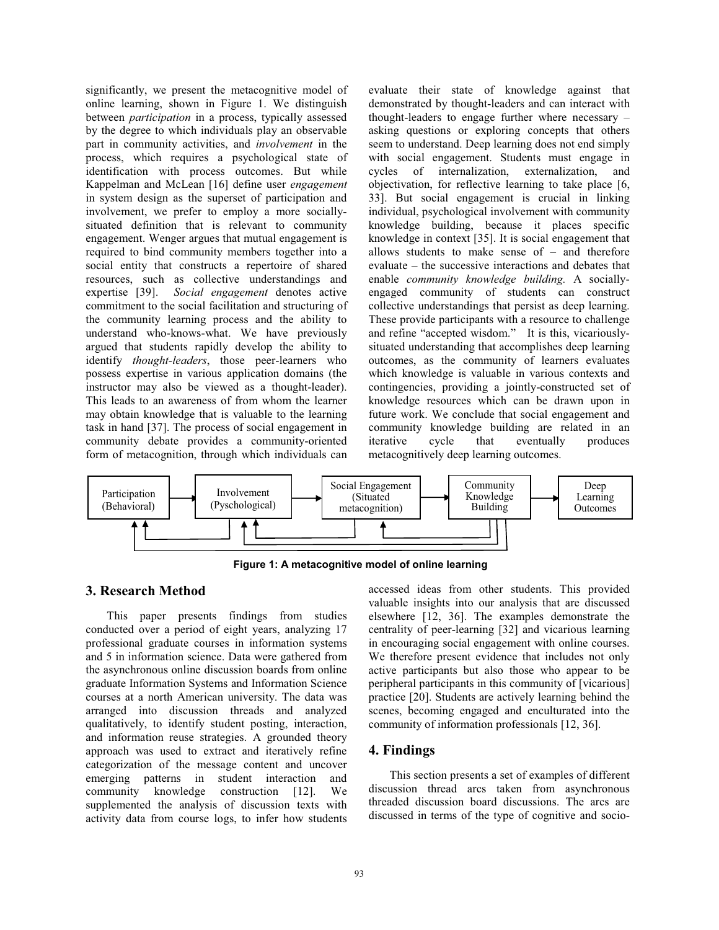significantly, we present the metacognitive model of online learning, shown in Figure 1. We distinguish between *participation* in a process, typically assessed by the degree to which individuals play an observable part in community activities, and *involvement* in the process, which requires a psychological state of identification with process outcomes. But while Kappelman and McLean [16] define user *engagement* in system design as the superset of participation and involvement, we prefer to employ a more sociallysituated definition that is relevant to community engagement. Wenger argues that mutual engagement is required to bind community members together into a social entity that constructs a repertoire of shared resources, such as collective understandings and expertise [39]. *Social engagement* denotes active commitment to the social facilitation and structuring of the community learning process and the ability to understand who-knows-what. We have previously argued that students rapidly develop the ability to identify *thought-leaders*, those peer-learners who possess expertise in various application domains (the instructor may also be viewed as a thought-leader). This leads to an awareness of from whom the learner may obtain knowledge that is valuable to the learning task in hand [37]. The process of social engagement in community debate provides a community-oriented form of metacognition, through which individuals can evaluate their state of knowledge against that demonstrated by thought-leaders and can interact with thought-leaders to engage further where necessary – asking questions or exploring concepts that others seem to understand. Deep learning does not end simply with social engagement. Students must engage in cycles of internalization, externalization, and objectivation, for reflective learning to take place [6, 33]. But social engagement is crucial in linking individual, psychological involvement with community knowledge building, because it places specific knowledge in context [35]. It is social engagement that allows students to make sense of – and therefore evaluate – the successive interactions and debates that enable *community knowledge building.* A sociallyengaged community of students can construct collective understandings that persist as deep learning. These provide participants with a resource to challenge and refine "accepted wisdom." It is this, vicariouslysituated understanding that accomplishes deep learning outcomes, as the community of learners evaluates which knowledge is valuable in various contexts and contingencies, providing a jointly-constructed set of knowledge resources which can be drawn upon in future work. We conclude that social engagement and community knowledge building are related in an iterative cycle that eventually produces metacognitively deep learning outcomes.



**Figure 1: A metacognitive model of online learning** 

## **3. Research Method**

This paper presents findings from studies conducted over a period of eight years, analyzing 17 professional graduate courses in information systems and 5 in information science. Data were gathered from the asynchronous online discussion boards from online graduate Information Systems and Information Science courses at a north American university. The data was arranged into discussion threads and analyzed qualitatively, to identify student posting, interaction, and information reuse strategies. A grounded theory approach was used to extract and iteratively refine categorization of the message content and uncover emerging patterns in student interaction and community knowledge construction [12]. We supplemented the analysis of discussion texts with activity data from course logs, to infer how students

accessed ideas from other students. This provided valuable insights into our analysis that are discussed elsewhere [12, 36]. The examples demonstrate the centrality of peer-learning [32] and vicarious learning in encouraging social engagement with online courses. We therefore present evidence that includes not only active participants but also those who appear to be peripheral participants in this community of [vicarious] practice [20]. Students are actively learning behind the scenes, becoming engaged and enculturated into the community of information professionals [12, 36].

## **4. Findings**

This section presents a set of examples of different discussion thread arcs taken from asynchronous threaded discussion board discussions. The arcs are discussed in terms of the type of cognitive and socio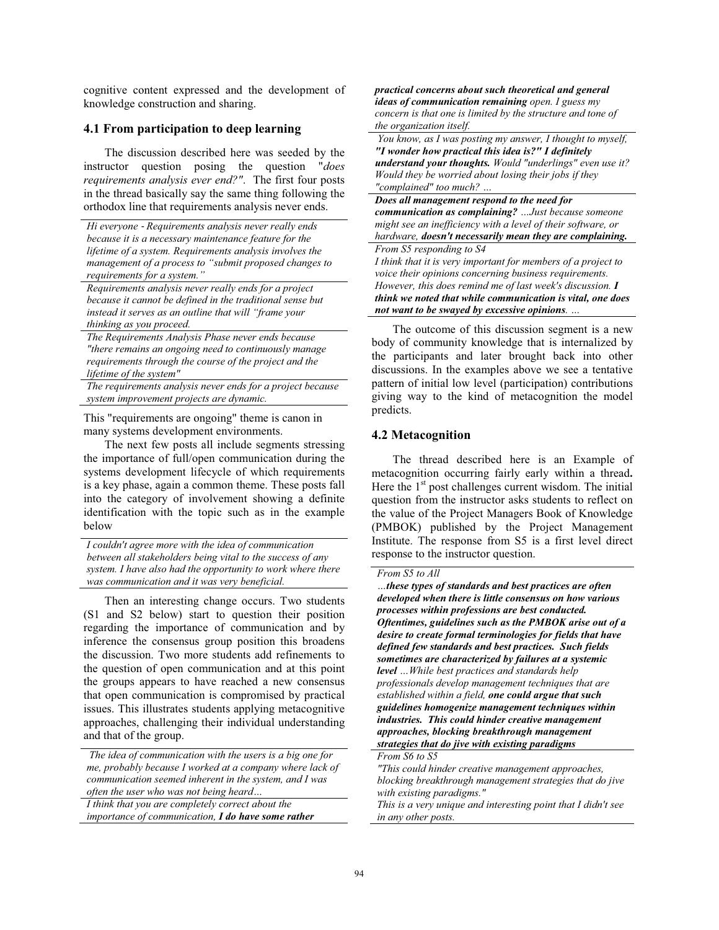cognitive content expressed and the development of knowledge construction and sharing.

### **4.1 From participation to deep learning**

The discussion described here was seeded by the instructor question posing the question "*does requirements analysis ever end?"*. The first four posts in the thread basically say the same thing following the orthodox line that requirements analysis never ends.

*Hi everyone* - *Requirements analysis never really ends because it is a necessary maintenance feature for the lifetime of a system. Requirements analysis involves the management of a process to "submit proposed changes to requirements for a system."* 

*Requirements analysis never really ends for a project because it cannot be defined in the traditional sense but instead it serves as an outline that will "frame your thinking as you proceed.* 

*The Requirements Analysis Phase never ends because "there remains an ongoing need to continuously manage requirements through the course of the project and the lifetime of the system"* 

*The requirements analysis never ends for a project because system improvement projects are dynamic.* 

This "requirements are ongoing" theme is canon in many systems development environments.

The next few posts all include segments stressing the importance of full/open communication during the systems development lifecycle of which requirements is a key phase, again a common theme. These posts fall into the category of involvement showing a definite identification with the topic such as in the example below

*I couldn't agree more with the idea of communication between all stakeholders being vital to the success of any system. I have also had the opportunity to work where there was communication and it was very beneficial.*

Then an interesting change occurs. Two students (S1 and S2 below) start to question their position regarding the importance of communication and by inference the consensus group position this broadens the discussion. Two more students add refinements to the question of open communication and at this point the groups appears to have reached a new consensus that open communication is compromised by practical issues. This illustrates students applying metacognitive approaches, challenging their individual understanding and that of the group.

 *The idea of communication with the users is a big one for me, probably because I worked at a company where lack of communication seemed inherent in the system, and I was often the user who was not being heard…* 

*I think that you are completely correct about the importance of communication, I do have some rather*  *practical concerns about such theoretical and general ideas of communication remaining open. I guess my concern is that one is limited by the structure and tone of the organization itself.* 

 *You know, as I was posting my answer, I thought to myself, "I wonder how practical this idea is?" I definitely understand your thoughts. Would "underlings" even use it? Would they be worried about losing their jobs if they "complained" too much? …* 

### *Does all management respond to the need for communication as complaining? …Just because someone might see an inefficiency with a level of their software, or*

*hardware, doesn't necessarily mean they are complaining. From S5 responding to S4 I think that it is very important for members of a project to* 

*voice their opinions concerning business requirements. However, this does remind me of last week's discussion. I think we noted that while communication is vital, one does not want to be swayed by excessive opinions. …* 

The outcome of this discussion segment is a new body of community knowledge that is internalized by the participants and later brought back into other discussions. In the examples above we see a tentative pattern of initial low level (participation) contributions giving way to the kind of metacognition the model predicts.

### **4.2 Metacognition**

The thread described here is an Example of metacognition occurring fairly early within a thread**.** Here the  $1<sup>st</sup>$  post challenges current wisdom. The initial question from the instructor asks students to reflect on the value of the Project Managers Book of Knowledge (PMBOK) published by the Project Management Institute. The response from S5 is a first level direct response to the instructor question.

*From S5 to All* 

*…these types of standards and best practices are often developed when there is little consensus on how various processes within professions are best conducted. Oftentimes, guidelines such as the PMBOK arise out of a desire to create formal terminologies for fields that have defined few standards and best practices. Such fields sometimes are characterized by failures at a systemic level …While best practices and standards help professionals develop management techniques that are established within a field, one could argue that such guidelines homogenize management techniques within industries. This could hinder creative management approaches, blocking breakthrough management strategies that do jive with existing paradigms*

*From S6 to S5* 

*"This could hinder creative management approaches, blocking breakthrough management strategies that do jive with existing paradigms." This is a very unique and interesting point that I didn't see* 

*in any other posts.*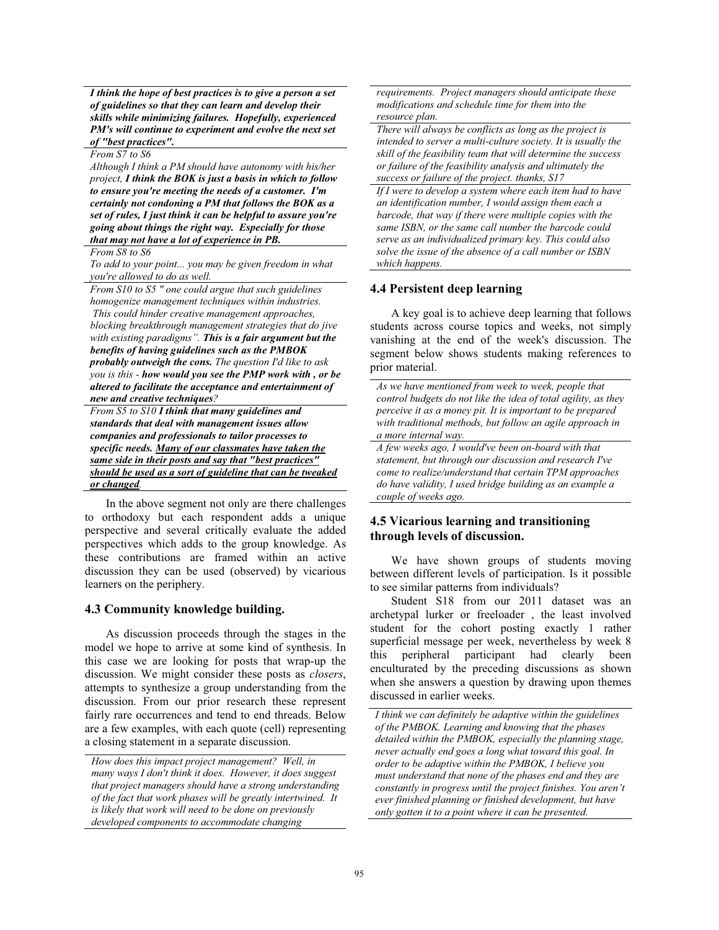*I think the hope of best practices is to give a person a set of guidelines so that they can learn and develop their skills while minimizing failures. Hopefully, experienced PM's will continue to experiment and evolve the next set of "best practices".*

#### *From S7 to S6*

*Although I think a PM should have autonomy with his/her project, I think the BOK is just a basis in which to follow to ensure you're meeting the needs of a customer. I'm certainly not condoning a PM that follows the BOK as a set of rules, I just think it can be helpful to assure you're going about things the right way. Especially for those that may not have a lot of experience in PB.*

### *From S8 to S6*

*To add to your point... you may be given freedom in what you're allowed to do as well.* 

*From S10 to S5 " one could argue that such guidelines homogenize management techniques within industries. This could hinder creative management approaches, blocking breakthrough management strategies that do jive with existing paradigms". This is a fair argument but the benefits of having guidelines such as the PMBOK probably outweigh the cons. The question I'd like to ask you is this - how would you see the PMP work with , or be altered to facilitate the acceptance and entertainment of new and creative techniques?* 

*From S5 to S10 I think that many guidelines and standards that deal with management issues allow companies and professionals to tailor processes to specific needs. Many of our classmates have taken the same side in their posts and say that "best practices" should be used as a sort of guideline that can be tweaked or changed.* 

In the above segment not only are there challenges to orthodoxy but each respondent adds a unique perspective and several critically evaluate the added perspectives which adds to the group knowledge. As these contributions are framed within an active discussion they can be used (observed) by vicarious learners on the periphery.

### **4.3 Community knowledge building.**

As discussion proceeds through the stages in the model we hope to arrive at some kind of synthesis. In this case we are looking for posts that wrap-up the discussion. We might consider these posts as *closers*, attempts to synthesize a group understanding from the discussion. From our prior research these represent fairly rare occurrences and tend to end threads. Below are a few examples, with each quote (cell) representing a closing statement in a separate discussion.

*How does this impact project management? Well, in many ways I don't think it does. However, it does suggest that project managers should have a strong understanding of the fact that work phases will be greatly intertwined. It is likely that work will need to be done on previously developed components to accommodate changing* 

*requirements. Project managers should anticipate these modifications and schedule time for them into the resource plan.* 

*There will always be conflicts as long as the project is intended to server a multi-culture society. It is usually the skill of the feasibility team that will determine the success or failure of the feasibility analysis and ultimately the success or failure of the project. thanks, S17* 

*If I were to develop a system where each item had to have an identification number, I would assign them each a barcode, that way if there were multiple copies with the same ISBN, or the same call number the barcode could serve as an individualized primary key. This could also solve the issue of the absence of a call number or ISBN which happens.* 

### **4.4 Persistent deep learning**

A key goal is to achieve deep learning that follows students across course topics and weeks, not simply vanishing at the end of the week's discussion. The segment below shows students making references to prior material.

*As we have mentioned from week to week, people that control budgets do not like the idea of total agility, as they perceive it as a money pit. It is important to be prepared with traditional methods, but follow an agile approach in a more internal way.* 

*A few weeks ago, I would've been on-board with that statement, but through our discussion and research I've come to realize/understand that certain TPM approaches do have validity, I used bridge building as an example a couple of weeks ago.* 

## **4.5 Vicarious learning and transitioning through levels of discussion.**

We have shown groups of students moving between different levels of participation. Is it possible to see similar patterns from individuals?

Student S18 from our 2011 dataset was an archetypal lurker or freeloader , the least involved student for the cohort posting exactly 1 rather superficial message per week, nevertheless by week 8 this peripheral participant had clearly been enculturated by the preceding discussions as shown when she answers a question by drawing upon themes discussed in earlier weeks.

*I think we can definitely be adaptive within the guidelines of the PMBOK. Learning and knowing that the phases detailed within the PMBOK, especially the planning stage, never actually end goes a long what toward this goal. In order to be adaptive within the PMBOK, I believe you must understand that none of the phases end and they are constantly in progress until the project finishes. You aren't ever finished planning or finished development, but have only gotten it to a point where it can be presented.*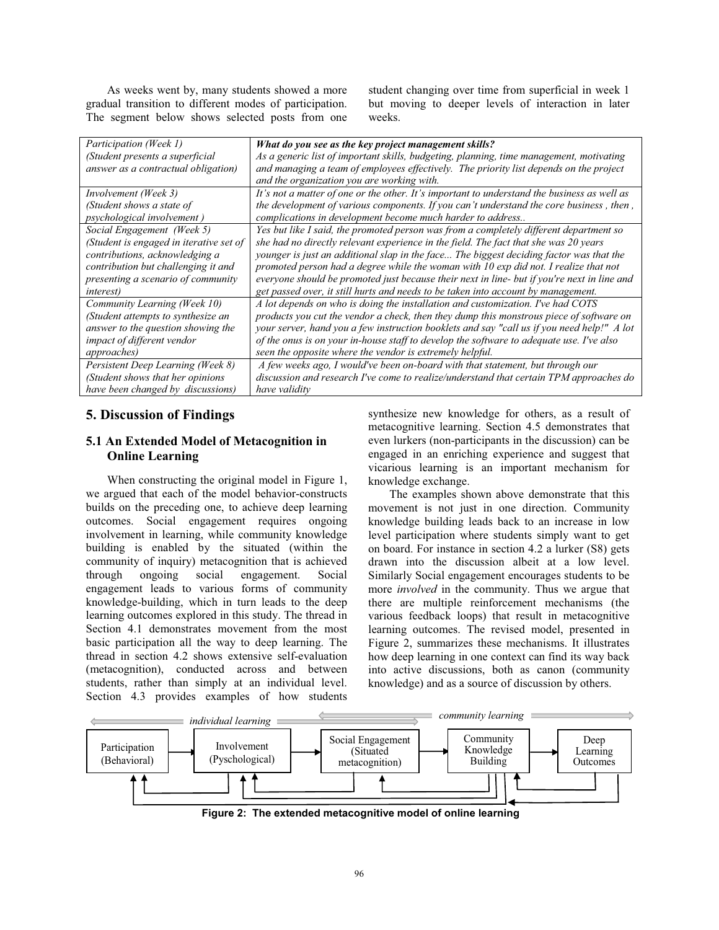As weeks went by, many students showed a more gradual transition to different modes of participation. The segment below shows selected posts from one student changing over time from superficial in week 1 but moving to deeper levels of interaction in later weeks.

| Participation (Week 1)                      | What do you see as the key project management skills?                                       |
|---------------------------------------------|---------------------------------------------------------------------------------------------|
| (Student presents a superficial             | As a generic list of important skills, budgeting, planning, time management, motivating     |
| <i>answer as a contractual obligation</i> ) | and managing a team of employees effectively. The priority list depends on the project      |
|                                             | and the organization you are working with.                                                  |
| Involvement (Week 3)                        | It's not a matter of one or the other. It's important to understand the business as well as |
| (Student shows a state of                   | the development of various components. If you can't understand the core business, then,     |
| <i>psychological involvement</i> )          | complications in development become much harder to address                                  |
| Social Engagement (Week 5)                  | Yes but like I said, the promoted person was from a completely different department so      |
| (Student is engaged in iterative set of     | she had no directly relevant experience in the field. The fact that she was 20 years        |
| contributions, acknowledging a              | younger is just an additional slap in the face The biggest deciding factor was that the     |
| contribution but challenging it and         | promoted person had a degree while the woman with 10 exp did not. I realize that not        |
| presenting a scenario of community          | everyone should be promoted just because their next in line- but if you're next in line and |
| <i>interest</i> )                           | get passed over, it still hurts and needs to be taken into account by management.           |
| Community Learning (Week 10)                | A lot depends on who is doing the installation and customization. I've had COTS             |
| (Student attempts to synthesize an          | products you cut the vendor a check, then they dump this monstrous piece of software on     |
| answer to the question showing the          | your server, hand you a few instruction booklets and say "call us if you need help!" A lot  |
| <i>impact of different vendor</i>           | of the onus is on your in-house staff to develop the software to adequate use. I've also    |
| <i>approaches</i> )                         | seen the opposite where the vendor is extremely helpful.                                    |
| Persistent Deep Learning (Week 8)           | A few weeks ago, I would've been on-board with that statement, but through our              |
| (Student shows that her opinions            | discussion and research I've come to realize/understand that certain TPM approaches do      |
| have been changed by discussions)           | have validity                                                                               |

# **5. Discussion of Findings**

## **5.1 An Extended Model of Metacognition in Online Learning**

When constructing the original model in Figure 1. we argued that each of the model behavior-constructs builds on the preceding one, to achieve deep learning outcomes. Social engagement requires ongoing involvement in learning, while community knowledge building is enabled by the situated (within the community of inquiry) metacognition that is achieved<br>through ongoing social engagement. Social through ongoing social engagement. Social engagement leads to various forms of community knowledge-building, which in turn leads to the deep learning outcomes explored in this study. The thread in Section 4.1 demonstrates movement from the most basic participation all the way to deep learning. The thread in section 4.2 shows extensive self-evaluation (metacognition), conducted across and between students, rather than simply at an individual level. Section 4.3 provides examples of how students

synthesize new knowledge for others, as a result of metacognitive learning. Section 4.5 demonstrates that even lurkers (non-participants in the discussion) can be engaged in an enriching experience and suggest that vicarious learning is an important mechanism for knowledge exchange.

The examples shown above demonstrate that this movement is not just in one direction. Community knowledge building leads back to an increase in low level participation where students simply want to get on board. For instance in section 4.2 a lurker (S8) gets drawn into the discussion albeit at a low level. Similarly Social engagement encourages students to be more *involved* in the community. Thus we argue that there are multiple reinforcement mechanisms (the various feedback loops) that result in metacognitive learning outcomes. The revised model, presented in Figure 2, summarizes these mechanisms. It illustrates how deep learning in one context can find its way back into active discussions, both as canon (community knowledge) and as a source of discussion by others.



**Figure 2: The extended metacognitive model of online learning**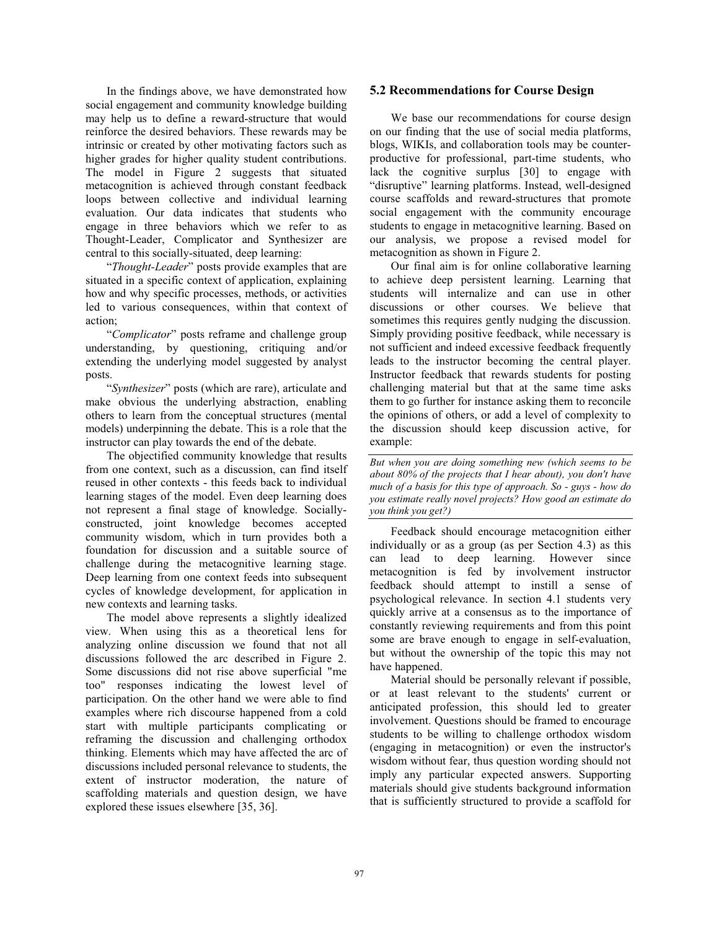In the findings above, we have demonstrated how social engagement and community knowledge building may help us to define a reward-structure that would reinforce the desired behaviors. These rewards may be intrinsic or created by other motivating factors such as higher grades for higher quality student contributions. The model in Figure 2 suggests that situated metacognition is achieved through constant feedback loops between collective and individual learning evaluation. Our data indicates that students who engage in three behaviors which we refer to as Thought-Leader, Complicator and Synthesizer are central to this socially-situated, deep learning:

"*Thought-Leader*" posts provide examples that are situated in a specific context of application, explaining how and why specific processes, methods, or activities led to various consequences, within that context of action;

"*Complicator*" posts reframe and challenge group understanding, by questioning, critiquing and/or extending the underlying model suggested by analyst posts.

"*Synthesizer*" posts (which are rare), articulate and make obvious the underlying abstraction, enabling others to learn from the conceptual structures (mental models) underpinning the debate. This is a role that the instructor can play towards the end of the debate.

The objectified community knowledge that results from one context, such as a discussion, can find itself reused in other contexts - this feeds back to individual learning stages of the model. Even deep learning does not represent a final stage of knowledge. Sociallyconstructed, joint knowledge becomes accepted community wisdom, which in turn provides both a foundation for discussion and a suitable source of challenge during the metacognitive learning stage. Deep learning from one context feeds into subsequent cycles of knowledge development, for application in new contexts and learning tasks.

The model above represents a slightly idealized view. When using this as a theoretical lens for analyzing online discussion we found that not all discussions followed the arc described in Figure 2. Some discussions did not rise above superficial "me too" responses indicating the lowest level of participation. On the other hand we were able to find examples where rich discourse happened from a cold start with multiple participants complicating or reframing the discussion and challenging orthodox thinking. Elements which may have affected the arc of discussions included personal relevance to students, the extent of instructor moderation, the nature of scaffolding materials and question design, we have explored these issues elsewhere [35, 36].

## **5.2 Recommendations for Course Design**

We base our recommendations for course design on our finding that the use of social media platforms, blogs, WIKIs, and collaboration tools may be counterproductive for professional, part-time students, who lack the cognitive surplus [30] to engage with "disruptive" learning platforms. Instead, well-designed course scaffolds and reward-structures that promote social engagement with the community encourage students to engage in metacognitive learning. Based on our analysis, we propose a revised model for metacognition as shown in Figure 2.

Our final aim is for online collaborative learning to achieve deep persistent learning. Learning that students will internalize and can use in other discussions or other courses. We believe that sometimes this requires gently nudging the discussion. Simply providing positive feedback, while necessary is not sufficient and indeed excessive feedback frequently leads to the instructor becoming the central player. Instructor feedback that rewards students for posting challenging material but that at the same time asks them to go further for instance asking them to reconcile the opinions of others, or add a level of complexity to the discussion should keep discussion active, for example:

*But when you are doing something new (which seems to be about 80% of the projects that I hear about), you don't have much of a basis for this type of approach. So - guys - how do you estimate really novel projects? How good an estimate do you think you get?)* 

Feedback should encourage metacognition either individually or as a group (as per Section 4.3) as this can lead to deep learning. However since metacognition is fed by involvement instructor feedback should attempt to instill a sense of psychological relevance. In section 4.1 students very quickly arrive at a consensus as to the importance of constantly reviewing requirements and from this point some are brave enough to engage in self-evaluation, but without the ownership of the topic this may not have happened.

Material should be personally relevant if possible, or at least relevant to the students' current or anticipated profession, this should led to greater involvement. Questions should be framed to encourage students to be willing to challenge orthodox wisdom (engaging in metacognition) or even the instructor's wisdom without fear, thus question wording should not imply any particular expected answers. Supporting materials should give students background information that is sufficiently structured to provide a scaffold for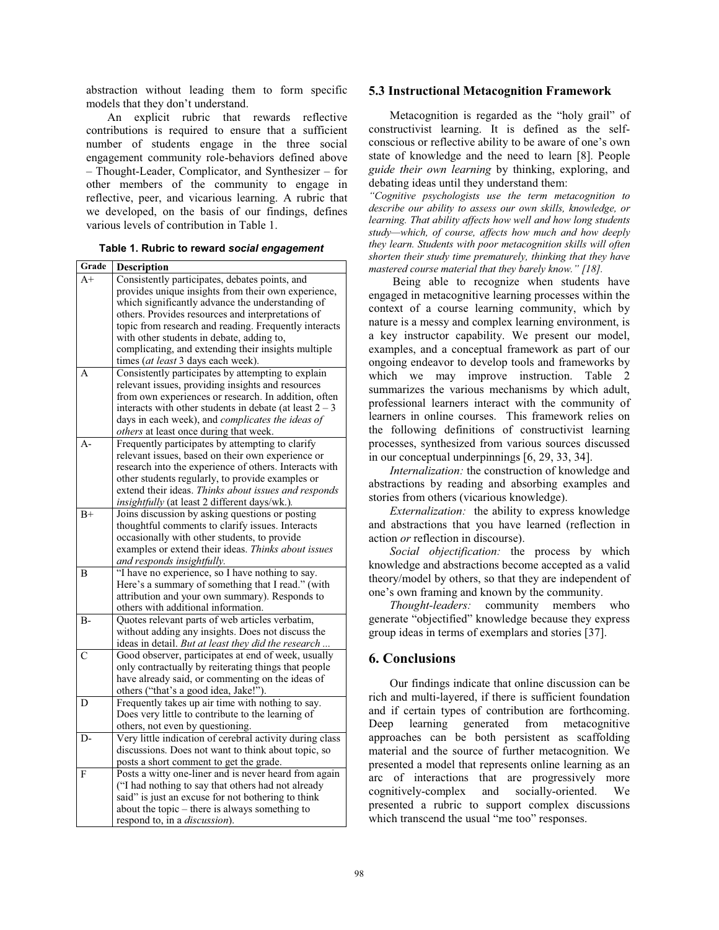abstraction without leading them to form specific models that they don't understand.

An explicit rubric that rewards reflective contributions is required to ensure that a sufficient number of students engage in the three social engagement community role-behaviors defined above – Thought-Leader, Complicator, and Synthesizer – for other members of the community to engage in reflective, peer, and vicarious learning. A rubric that we developed, on the basis of our findings, defines various levels of contribution in Table 1.

**Table 1. Rubric to reward** *social engagement*

| Grade          | Description                                                                                           |  |  |  |
|----------------|-------------------------------------------------------------------------------------------------------|--|--|--|
| $A+$           | Consistently participates, debates points, and                                                        |  |  |  |
|                | provides unique insights from their own experience,                                                   |  |  |  |
|                | which significantly advance the understanding of                                                      |  |  |  |
|                | others. Provides resources and interpretations of                                                     |  |  |  |
|                | topic from research and reading. Frequently interacts                                                 |  |  |  |
|                | with other students in debate, adding to,                                                             |  |  |  |
|                | complicating, and extending their insights multiple                                                   |  |  |  |
|                | times (at least 3 days each week).                                                                    |  |  |  |
| A              | Consistently participates by attempting to explain                                                    |  |  |  |
|                | relevant issues, providing insights and resources                                                     |  |  |  |
|                | from own experiences or research. In addition, often                                                  |  |  |  |
|                | interacts with other students in debate (at least $2 - 3$                                             |  |  |  |
|                | days in each week), and complicates the ideas of                                                      |  |  |  |
|                | others at least once during that week.                                                                |  |  |  |
| A-             | Frequently participates by attempting to clarify                                                      |  |  |  |
|                | relevant issues, based on their own experience or                                                     |  |  |  |
|                | research into the experience of others. Interacts with                                                |  |  |  |
|                | other students regularly, to provide examples or                                                      |  |  |  |
|                | extend their ideas. Thinks about issues and responds<br>insightfully (at least 2 different days/wk.). |  |  |  |
| $B+$           | Joins discussion by asking questions or posting                                                       |  |  |  |
|                | thoughtful comments to clarify issues. Interacts                                                      |  |  |  |
|                | occasionally with other students, to provide                                                          |  |  |  |
|                | examples or extend their ideas. Thinks about issues                                                   |  |  |  |
|                | and responds insightfully.                                                                            |  |  |  |
| B              | "I have no experience, so I have nothing to say.                                                      |  |  |  |
|                | Here's a summary of something that I read." (with                                                     |  |  |  |
|                | attribution and your own summary). Responds to                                                        |  |  |  |
|                | others with additional information.                                                                   |  |  |  |
| $B -$          | Quotes relevant parts of web articles verbatim,                                                       |  |  |  |
|                | without adding any insights. Does not discuss the                                                     |  |  |  |
|                | ideas in detail. But at least they did the research                                                   |  |  |  |
| $\overline{C}$ | Good observer, participates at end of week, usually                                                   |  |  |  |
|                | only contractually by reiterating things that people                                                  |  |  |  |
|                | have already said, or commenting on the ideas of                                                      |  |  |  |
|                | others ("that's a good idea, Jake!").                                                                 |  |  |  |
| D              | Frequently takes up air time with nothing to say.                                                     |  |  |  |
|                | Does very little to contribute to the learning of                                                     |  |  |  |
|                | others, not even by questioning.                                                                      |  |  |  |
| $D-$           | Very little indication of cerebral activity during class                                              |  |  |  |
|                | discussions. Does not want to think about topic, so                                                   |  |  |  |
|                | posts a short comment to get the grade.                                                               |  |  |  |
| F              | Posts a witty one-liner and is never heard from again                                                 |  |  |  |
|                | ("I had nothing to say that others had not already                                                    |  |  |  |
|                | said" is just an excuse for not bothering to think                                                    |  |  |  |
|                | about the topic - there is always something to                                                        |  |  |  |
|                | respond to, in a <i>discussion</i> ).                                                                 |  |  |  |

### **5.3 Instructional Metacognition Framework**

Metacognition is regarded as the "holy grail" of constructivist learning. It is defined as the selfconscious or reflective ability to be aware of one's own state of knowledge and the need to learn [8]. People *guide their own learning* by thinking, exploring, and debating ideas until they understand them:

*"Cognitive psychologists use the term metacognition to describe our ability to assess our own skills, knowledge, or learning. That ability affects how well and how long students study—which, of course, affects how much and how deeply they learn. Students with poor metacognition skills will often shorten their study time prematurely, thinking that they have mastered course material that they barely know." [18].* 

 Being able to recognize when students have engaged in metacognitive learning processes within the context of a course learning community, which by nature is a messy and complex learning environment, is a key instructor capability. We present our model, examples, and a conceptual framework as part of our ongoing endeavor to develop tools and frameworks by which we may improve instruction. Table 2 summarizes the various mechanisms by which adult, professional learners interact with the community of learners in online courses. This framework relies on the following definitions of constructivist learning processes, synthesized from various sources discussed in our conceptual underpinnings [6, 29, 33, 34].

*Internalization:* the construction of knowledge and abstractions by reading and absorbing examples and stories from others (vicarious knowledge).

*Externalization:* the ability to express knowledge and abstractions that you have learned (reflection in action *or* reflection in discourse).

*Social objectification:* the process by which knowledge and abstractions become accepted as a valid theory/model by others, so that they are independent of one's own framing and known by the community.

*Thought-leaders:* community members who generate "objectified" knowledge because they express group ideas in terms of exemplars and stories [37].

## **6. Conclusions**

Our findings indicate that online discussion can be rich and multi-layered, if there is sufficient foundation and if certain types of contribution are forthcoming. Deep learning generated from metacognitive approaches can be both persistent as scaffolding material and the source of further metacognition. We presented a model that represents online learning as an arc of interactions that are progressively more cognitively-complex and socially-oriented. We presented a rubric to support complex discussions which transcend the usual "me too" responses.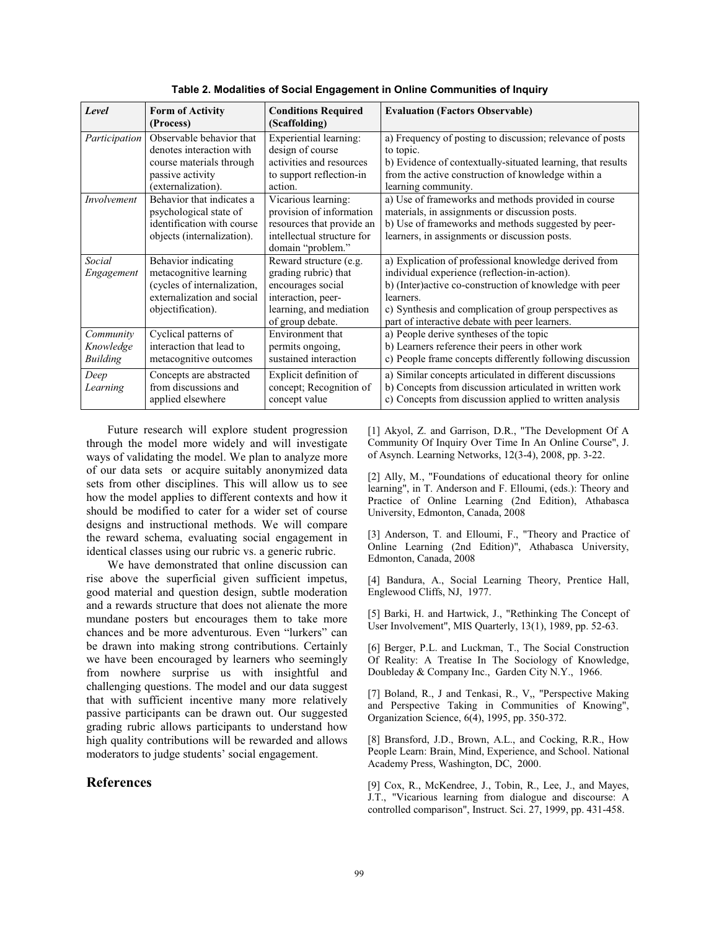| Level                                     | <b>Form of Activity</b><br>(Process)                                                                                            | <b>Conditions Required</b><br>(Scaffolding)                                                                                              | <b>Evaluation (Factors Observable)</b>                                                                                                                                                                                                                                                     |
|-------------------------------------------|---------------------------------------------------------------------------------------------------------------------------------|------------------------------------------------------------------------------------------------------------------------------------------|--------------------------------------------------------------------------------------------------------------------------------------------------------------------------------------------------------------------------------------------------------------------------------------------|
| Participation                             | Observable behavior that<br>denotes interaction with<br>course materials through<br>passive activity<br>(externalization).      | Experiential learning:<br>design of course<br>activities and resources<br>to support reflection-in<br>action.                            | a) Frequency of posting to discussion; relevance of posts<br>to topic.<br>b) Evidence of contextually-situated learning, that results<br>from the active construction of knowledge within a<br>learning community.                                                                         |
| Involvement                               | Behavior that indicates a<br>psychological state of<br>identification with course<br>objects (internalization).                 | Vicarious learning:<br>provision of information<br>resources that provide an<br>intellectual structure for<br>domain "problem."          | a) Use of frameworks and methods provided in course<br>materials, in assignments or discussion posts.<br>b) Use of frameworks and methods suggested by peer-<br>learners, in assignments or discussion posts.                                                                              |
| Social<br>Engagement                      | Behavior indicating<br>metacognitive learning<br>(cycles of internalization,<br>externalization and social<br>objectification). | Reward structure (e.g.<br>grading rubric) that<br>encourages social<br>interaction, peer-<br>learning, and mediation<br>of group debate. | a) Explication of professional knowledge derived from<br>individual experience (reflection-in-action).<br>b) (Inter)active co-construction of knowledge with peer<br>learners.<br>c) Synthesis and complication of group perspectives as<br>part of interactive debate with peer learners. |
| Community<br>Knowledge<br><b>Building</b> | Cyclical patterns of<br>interaction that lead to<br>metacognitive outcomes                                                      | Environment that<br>permits ongoing,<br>sustained interaction                                                                            | a) People derive syntheses of the topic<br>b) Learners reference their peers in other work<br>c) People frame concepts differently following discussion                                                                                                                                    |
| Deep<br>Learning                          | Concepts are abstracted<br>from discussions and<br>applied elsewhere                                                            | Explicit definition of<br>concept; Recognition of<br>concept value                                                                       | a) Similar concepts articulated in different discussions<br>b) Concepts from discussion articulated in written work<br>c) Concepts from discussion applied to written analysis                                                                                                             |

**Table 2. Modalities of Social Engagement in Online Communities of Inquiry** 

Future research will explore student progression through the model more widely and will investigate ways of validating the model. We plan to analyze more of our data sets or acquire suitably anonymized data sets from other disciplines. This will allow us to see how the model applies to different contexts and how it should be modified to cater for a wider set of course designs and instructional methods. We will compare the reward schema, evaluating social engagement in identical classes using our rubric vs. a generic rubric.

We have demonstrated that online discussion can rise above the superficial given sufficient impetus, good material and question design, subtle moderation and a rewards structure that does not alienate the more mundane posters but encourages them to take more chances and be more adventurous. Even "lurkers" can be drawn into making strong contributions. Certainly we have been encouraged by learners who seemingly from nowhere surprise us with insightful and challenging questions. The model and our data suggest that with sufficient incentive many more relatively passive participants can be drawn out. Our suggested grading rubric allows participants to understand how high quality contributions will be rewarded and allows moderators to judge students' social engagement.

## **References**

[1] Akyol, Z. and Garrison, D.R., "The Development Of A Community Of Inquiry Over Time In An Online Course", J. of Asynch. Learning Networks, 12(3-4), 2008, pp. 3-22.

[2] Ally, M., "Foundations of educational theory for online learning", in T. Anderson and F. Elloumi, (eds.): Theory and Practice of Online Learning (2nd Edition), Athabasca University, Edmonton, Canada, 2008

[3] Anderson, T. and Elloumi, F., "Theory and Practice of Online Learning (2nd Edition)", Athabasca University, Edmonton, Canada, 2008

[4] Bandura, A., Social Learning Theory, Prentice Hall, Englewood Cliffs, NJ, 1977.

[5] Barki, H. and Hartwick, J., "Rethinking The Concept of User Involvement", MIS Quarterly, 13(1), 1989, pp. 52-63.

[6] Berger, P.L. and Luckman, T., The Social Construction Of Reality: A Treatise In The Sociology of Knowledge, Doubleday & Company Inc., Garden City N.Y., 1966.

[7] Boland, R., J and Tenkasi, R., V., "Perspective Making and Perspective Taking in Communities of Knowing", Organization Science, 6(4), 1995, pp. 350-372.

[8] Bransford, J.D., Brown, A.L., and Cocking, R.R., How People Learn: Brain, Mind, Experience, and School. National Academy Press, Washington, DC, 2000.

[9] Cox, R., McKendree, J., Tobin, R., Lee, J., and Mayes, J.T., "Vicarious learning from dialogue and discourse: A controlled comparison", Instruct. Sci. 27, 1999, pp. 431-458.